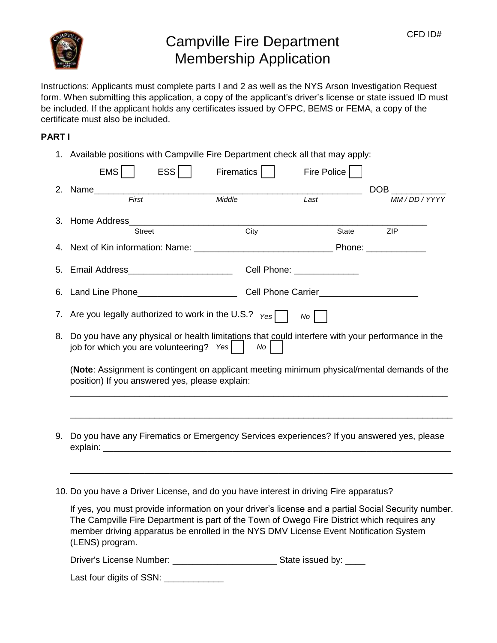

## Campville Fire Department Membership Application

Instructions: Applicants must complete parts I and 2 as well as the NYS Arson Investigation Request form. When submitting this application, a copy of the applicant's driver's license or state issued ID must be included. If the applicant holds any certificates issued by OFPC, BEMS or FEMA, a copy of the certificate must also be included.

### **PART I**

1. Available positions with Campville Fire Department check all that may apply:

|                                                                                       | EMS<br>ESS                                                                                                                                                                                                                                                                                                     | Firematics | Fire Police                |            |  |  |  |
|---------------------------------------------------------------------------------------|----------------------------------------------------------------------------------------------------------------------------------------------------------------------------------------------------------------------------------------------------------------------------------------------------------------|------------|----------------------------|------------|--|--|--|
|                                                                                       | 2. Name______                                                                                                                                                                                                                                                                                                  |            |                            | <b>DOB</b> |  |  |  |
|                                                                                       | First                                                                                                                                                                                                                                                                                                          | Middle     | Last                       | MM/DD/YYYY |  |  |  |
|                                                                                       | 3. Home Address_                                                                                                                                                                                                                                                                                               |            |                            |            |  |  |  |
|                                                                                       | <b>Street</b>                                                                                                                                                                                                                                                                                                  | City       | State                      | <b>ZIP</b> |  |  |  |
|                                                                                       |                                                                                                                                                                                                                                                                                                                |            |                            |            |  |  |  |
|                                                                                       |                                                                                                                                                                                                                                                                                                                |            | Cell Phone: ______________ |            |  |  |  |
|                                                                                       | 6. Land Line Phone_________________________                                                                                                                                                                                                                                                                    |            |                            |            |  |  |  |
|                                                                                       | 7. Are you legally authorized to work in the U.S.?<br>$Yes$  <br>No                                                                                                                                                                                                                                            |            |                            |            |  |  |  |
| 8.                                                                                    | Do you have any physical or health limitations that could interfere with your performance in the<br>job for which you are volunteering? $Yes$<br>No                                                                                                                                                            |            |                            |            |  |  |  |
|                                                                                       | (Note: Assignment is contingent on applicant meeting minimum physical/mental demands of the<br>position) If you answered yes, please explain:                                                                                                                                                                  |            |                            |            |  |  |  |
|                                                                                       |                                                                                                                                                                                                                                                                                                                |            |                            |            |  |  |  |
| 9.                                                                                    | Do you have any Firematics or Emergency Services experiences? If you answered yes, please                                                                                                                                                                                                                      |            |                            |            |  |  |  |
|                                                                                       |                                                                                                                                                                                                                                                                                                                |            |                            |            |  |  |  |
| 10. Do you have a Driver License, and do you have interest in driving Fire apparatus? |                                                                                                                                                                                                                                                                                                                |            |                            |            |  |  |  |
|                                                                                       | If yes, you must provide information on your driver's license and a partial Social Security number.<br>The Campville Fire Department is part of the Town of Owego Fire District which requires any<br>member driving apparatus be enrolled in the NYS DMV License Event Notification System<br>(LENS) program. |            |                            |            |  |  |  |

Driver's License Number: \_\_\_\_\_\_\_\_\_\_\_\_\_\_\_\_\_\_\_\_\_\_\_\_\_\_\_\_\_\_\_\_\_\_State issued by: \_\_\_\_\_

Last four digits of SSN: \_\_\_\_\_\_\_\_\_\_\_\_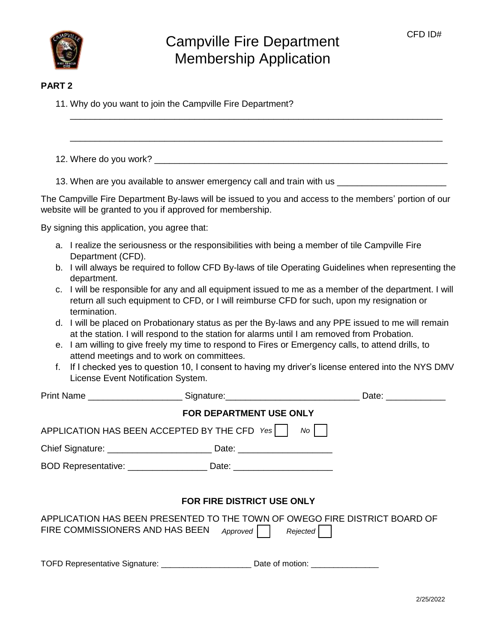

# Campville Fire Department Membership Application

\_\_\_\_\_\_\_\_\_\_\_\_\_\_\_\_\_\_\_\_\_\_\_\_\_\_\_\_\_\_\_\_\_\_\_\_\_\_\_\_\_\_\_\_\_\_\_\_\_\_\_\_\_\_\_\_\_\_\_\_\_\_\_\_\_\_\_\_\_\_\_\_\_\_\_

\_\_\_\_\_\_\_\_\_\_\_\_\_\_\_\_\_\_\_\_\_\_\_\_\_\_\_\_\_\_\_\_\_\_\_\_\_\_\_\_\_\_\_\_\_\_\_\_\_\_\_\_\_\_\_\_\_\_\_\_\_\_\_\_\_\_\_\_\_\_\_\_\_\_\_

#### **PART 2**

11. Why do you want to join the Campville Fire Department?

12. Where do you work? \_\_\_\_\_\_\_\_\_\_\_\_\_\_\_\_\_\_\_\_\_\_\_\_\_\_\_\_\_\_\_\_\_\_\_\_\_\_\_\_\_\_\_\_\_\_\_\_\_\_\_\_\_\_\_\_\_\_\_

13. When are you available to answer emergency call and train with us \_\_\_\_\_\_\_\_\_\_

The Campville Fire Department By-laws will be issued to you and access to the members' portion of our website will be granted to you if approved for membership.

By signing this application, you agree that:

- a. I realize the seriousness or the responsibilities with being a member of tile Campville Fire Department (CFD).
- b. I will always be required to follow CFD By-laws of tile Operating Guidelines when representing the department.
- c. I will be responsible for any and all equipment issued to me as a member of the department. I will return all such equipment to CFD, or I will reimburse CFD for such, upon my resignation or termination.
- d. I will be placed on Probationary status as per the By-laws and any PPE issued to me will remain at the station. I will respond to the station for alarms until I am removed from Probation.
- e. I am willing to give freely my time to respond to Fires or Emergency calls, to attend drills, to attend meetings and to work on committees.
- f. If I checked yes to question 10, I consent to having my driver's license entered into the NYS DMV License Event Notification System.

| Print Name ___________________________________Signature:_________________________ |                   | Date: ______________                                                       |  |  |  |  |  |  |
|-----------------------------------------------------------------------------------|-------------------|----------------------------------------------------------------------------|--|--|--|--|--|--|
| <b>FOR DEPARTMENT USE ONLY</b>                                                    |                   |                                                                            |  |  |  |  |  |  |
| APPLICATION HAS BEEN ACCEPTED BY THE CFD Yes<br>No                                |                   |                                                                            |  |  |  |  |  |  |
|                                                                                   |                   |                                                                            |  |  |  |  |  |  |
|                                                                                   |                   |                                                                            |  |  |  |  |  |  |
|                                                                                   |                   |                                                                            |  |  |  |  |  |  |
| FOR FIRE DISTRICT USE ONLY                                                        |                   |                                                                            |  |  |  |  |  |  |
| FIRE COMMISSIONERS AND HAS BEEN                                                   | Approved Rejected | APPLICATION HAS BEEN PRESENTED TO THE TOWN OF OWEGO FIRE DISTRICT BOARD OF |  |  |  |  |  |  |
|                                                                                   |                   | Date of motion: __________________                                         |  |  |  |  |  |  |